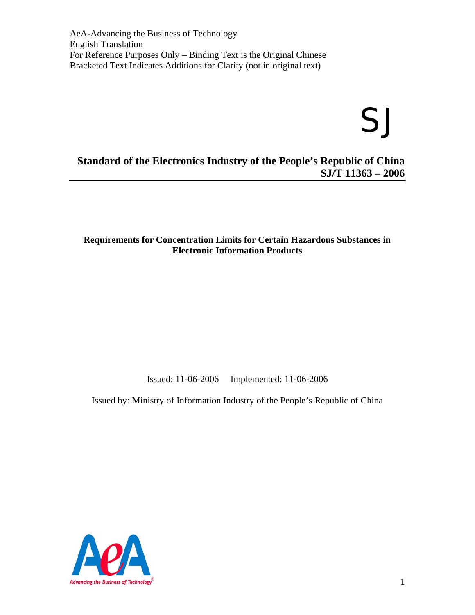# SJ

## **Standard of the Electronics Industry of the People's Republic of China SJ/T 11363 – 2006**

#### **Requirements for Concentration Limits for Certain Hazardous Substances in Electronic Information Products**

Issued: 11-06-2006 Implemented: 11-06-2006

Issued by: Ministry of Information Industry of the People's Republic of China

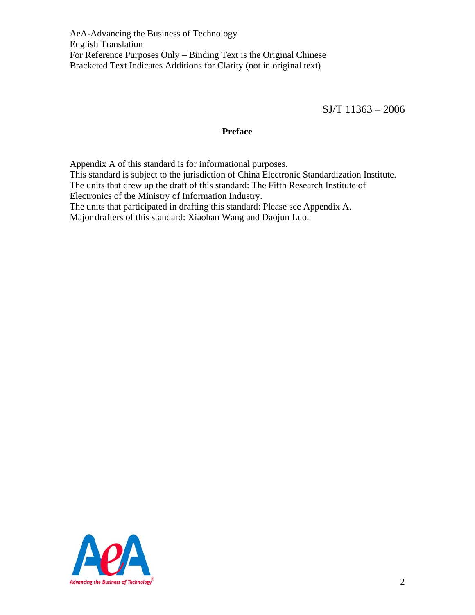SJ/T 11363 – 2006

#### **Preface**

Appendix A of this standard is for informational purposes. This standard is subject to the jurisdiction of China Electronic Standardization Institute. The units that drew up the draft of this standard: The Fifth Research Institute of Electronics of the Ministry of Information Industry. The units that participated in drafting this standard: Please see Appendix A. Major drafters of this standard: Xiaohan Wang and Daojun Luo.

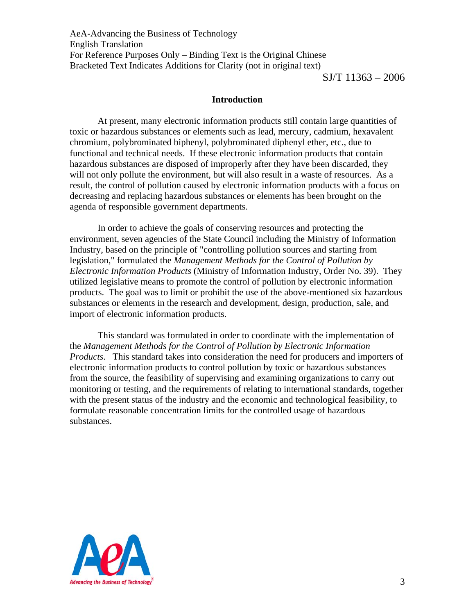SJ/T 11363 – 2006

#### **Introduction**

At present, many electronic information products still contain large quantities of toxic or hazardous substances or elements such as lead, mercury, cadmium, hexavalent chromium, polybrominated biphenyl, polybrominated diphenyl ether, etc., due to functional and technical needs. If these electronic information products that contain hazardous substances are disposed of improperly after they have been discarded, they will not only pollute the environment, but will also result in a waste of resources. As a result, the control of pollution caused by electronic information products with a focus on decreasing and replacing hazardous substances or elements has been brought on the agenda of responsible government departments.

 In order to achieve the goals of conserving resources and protecting the environment, seven agencies of the State Council including the Ministry of Information Industry, based on the principle of "controlling pollution sources and starting from legislation," formulated the *Management Methods for the Control of Pollution by Electronic Information Products* (Ministry of Information Industry, Order No. 39). They utilized legislative means to promote the control of pollution by electronic information products. The goal was to limit or prohibit the use of the above-mentioned six hazardous substances or elements in the research and development, design, production, sale, and import of electronic information products.

 This standard was formulated in order to coordinate with the implementation of the *Management Methods for the Control of Pollution by Electronic Information Products*. This standard takes into consideration the need for producers and importers of electronic information products to control pollution by toxic or hazardous substances from the source, the feasibility of supervising and examining organizations to carry out monitoring or testing, and the requirements of relating to international standards, together with the present status of the industry and the economic and technological feasibility, to formulate reasonable concentration limits for the controlled usage of hazardous substances.

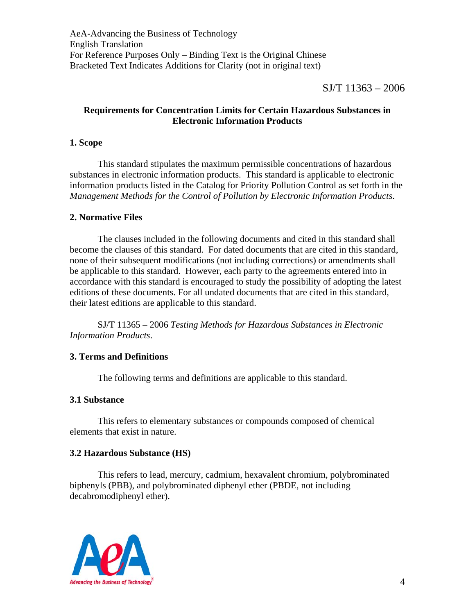$SI/T$  11363 – 2006

## **Requirements for Concentration Limits for Certain Hazardous Substances in Electronic Information Products**

## **1. Scope**

 This standard stipulates the maximum permissible concentrations of hazardous substances in electronic information products. This standard is applicable to electronic information products listed in the Catalog for Priority Pollution Control as set forth in the *Management Methods for the Control of Pollution by Electronic Information Products*.

## **2. Normative Files**

 The clauses included in the following documents and cited in this standard shall become the clauses of this standard. For dated documents that are cited in this standard, none of their subsequent modifications (not including corrections) or amendments shall be applicable to this standard. However, each party to the agreements entered into in accordance with this standard is encouraged to study the possibility of adopting the latest editions of these documents. For all undated documents that are cited in this standard, their latest editions are applicable to this standard.

 SJ/T 11365 – 2006 *Testing Methods for Hazardous Substances in Electronic Information Products*.

## **3. Terms and Definitions**

The following terms and definitions are applicable to this standard.

#### **3.1 Substance**

 This refers to elementary substances or compounds composed of chemical elements that exist in nature.

#### **3.2 Hazardous Substance (HS)**

 This refers to lead, mercury, cadmium, hexavalent chromium, polybrominated biphenyls (PBB), and polybrominated diphenyl ether (PBDE, not including decabromodiphenyl ether).

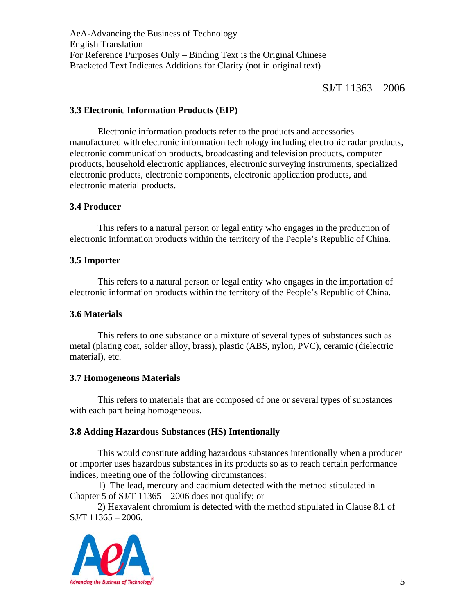$SI/T$  11363 – 2006

#### **3.3 Electronic Information Products (EIP)**

 Electronic information products refer to the products and accessories manufactured with electronic information technology including electronic radar products, electronic communication products, broadcasting and television products, computer products, household electronic appliances, electronic surveying instruments, specialized electronic products, electronic components, electronic application products, and electronic material products.

#### **3.4 Producer**

 This refers to a natural person or legal entity who engages in the production of electronic information products within the territory of the People's Republic of China.

## **3.5 Importer**

This refers to a natural person or legal entity who engages in the importation of electronic information products within the territory of the People's Republic of China.

#### **3.6 Materials**

 This refers to one substance or a mixture of several types of substances such as metal (plating coat, solder alloy, brass), plastic (ABS, nylon, PVC), ceramic (dielectric material), etc.

#### **3.7 Homogeneous Materials**

 This refers to materials that are composed of one or several types of substances with each part being homogeneous.

## **3.8 Adding Hazardous Substances (HS) Intentionally**

 This would constitute adding hazardous substances intentionally when a producer or importer uses hazardous substances in its products so as to reach certain performance indices, meeting one of the following circumstances:

 1) The lead, mercury and cadmium detected with the method stipulated in Chapter 5 of SJ/T  $11365 - 2006$  does not qualify; or

 2) Hexavalent chromium is detected with the method stipulated in Clause 8.1 of  $SJ/T$  11365 – 2006.

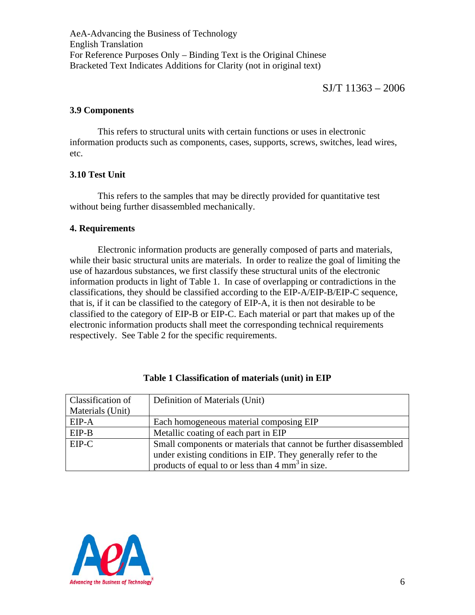#### **3.9 Components**

 This refers to structural units with certain functions or uses in electronic information products such as components, cases, supports, screws, switches, lead wires, etc.

## **3.10 Test Unit**

 This refers to the samples that may be directly provided for quantitative test without being further disassembled mechanically.

#### **4. Requirements**

 Electronic information products are generally composed of parts and materials, while their basic structural units are materials. In order to realize the goal of limiting the use of hazardous substances, we first classify these structural units of the electronic information products in light of Table 1. In case of overlapping or contradictions in the classifications, they should be classified according to the EIP-A/EIP-B/EIP-C sequence, that is, if it can be classified to the category of EIP-A, it is then not desirable to be classified to the category of EIP-B or EIP-C. Each material or part that makes up of the electronic information products shall meet the corresponding technical requirements respectively. See Table 2 for the specific requirements.

| Classification of | Definition of Materials (Unit)                                    |  |
|-------------------|-------------------------------------------------------------------|--|
| Materials (Unit)  |                                                                   |  |
| $EIP-A$           | Each homogeneous material composing EIP                           |  |
| $EIP-B$           | Metallic coating of each part in EIP                              |  |
| EIP-C             | Small components or materials that cannot be further disassembled |  |
|                   | under existing conditions in EIP. They generally refer to the     |  |
|                   | products of equal to or less than 4 mm <sup>3</sup> in size.      |  |

| Table 1 Classification of materials (unit) in EIP |  |  |
|---------------------------------------------------|--|--|
|---------------------------------------------------|--|--|

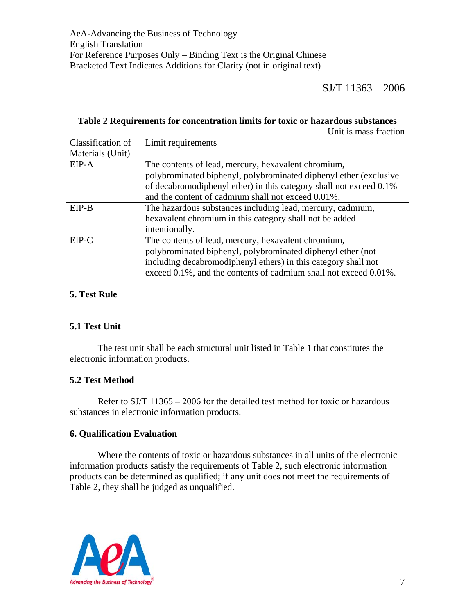SJ/T 11363 – 2006

#### **Table 2 Requirements for concentration limits for toxic or hazardous substances**  Unit is mass fraction

Classification of Materials (Unit) Limit requirements EIP-A The contents of lead, mercury, hexavalent chromium, polybrominated biphenyl, polybrominated diphenyl ether (exclusive of decabromodiphenyl ether) in this category shall not exceed 0.1% and the content of cadmium shall not exceed 0.01%. EIP-B The hazardous substances including lead, mercury, cadmium, hexavalent chromium in this category shall not be added intentionally. EIP-C The contents of lead, mercury, hexavalent chromium, polybrominated biphenyl, polybrominated diphenyl ether (not including decabromodiphenyl ethers) in this category shall not exceed 0.1%, and the contents of cadmium shall not exceed 0.01%.

## **5. Test Rule**

#### **5.1 Test Unit**

 The test unit shall be each structural unit listed in Table 1 that constitutes the electronic information products.

#### **5.2 Test Method**

 Refer to SJ/T 11365 – 2006 for the detailed test method for toxic or hazardous substances in electronic information products.

#### **6. Qualification Evaluation**

 Where the contents of toxic or hazardous substances in all units of the electronic information products satisfy the requirements of Table 2, such electronic information products can be determined as qualified; if any unit does not meet the requirements of Table 2, they shall be judged as unqualified.

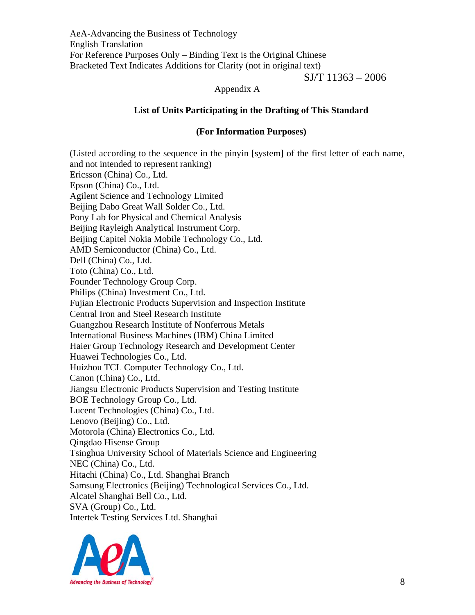SJ/T 11363 – 2006

#### Appendix A

#### **List of Units Participating in the Drafting of This Standard**

#### **(For Information Purposes)**

(Listed according to the sequence in the pinyin [system] of the first letter of each name, and not intended to represent ranking) Ericsson (China) Co., Ltd. Epson (China) Co., Ltd. Agilent Science and Technology Limited Beijing Dabo Great Wall Solder Co., Ltd. Pony Lab for Physical and Chemical Analysis Beijing Rayleigh Analytical Instrument Corp. Beijing Capitel Nokia Mobile Technology Co., Ltd. AMD Semiconductor (China) Co., Ltd. Dell (China) Co., Ltd. Toto (China) Co., Ltd. Founder Technology Group Corp. Philips (China) Investment Co., Ltd. Fujian Electronic Products Supervision and Inspection Institute Central Iron and Steel Research Institute Guangzhou Research Institute of Nonferrous Metals International Business Machines (IBM) China Limited Haier Group Technology Research and Development Center Huawei Technologies Co., Ltd. Huizhou TCL Computer Technology Co., Ltd. Canon (China) Co., Ltd. Jiangsu Electronic Products Supervision and Testing Institute BOE Technology Group Co., Ltd. Lucent Technologies (China) Co., Ltd. Lenovo (Beijing) Co., Ltd. Motorola (China) Electronics Co., Ltd. Qingdao Hisense Group Tsinghua University School of Materials Science and Engineering NEC (China) Co., Ltd. Hitachi (China) Co., Ltd. Shanghai Branch Samsung Electronics (Beijing) Technological Services Co., Ltd. Alcatel Shanghai Bell Co., Ltd. SVA (Group) Co., Ltd. Intertek Testing Services Ltd. Shanghai